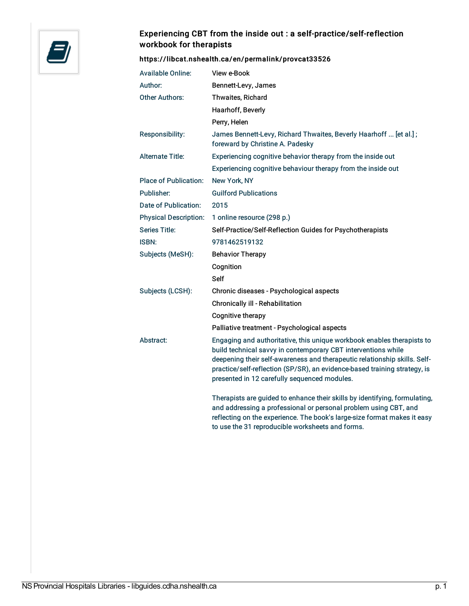

## Experiencing CBT from the inside out : a self-practice/self-reflection workbook for therapists

## <https://libcat.nshealth.ca/en/permalink/provcat33526>

| <b>Available Online:</b>     | View e-Book                                                                                                                                                                                                                                                                                                                                       |
|------------------------------|---------------------------------------------------------------------------------------------------------------------------------------------------------------------------------------------------------------------------------------------------------------------------------------------------------------------------------------------------|
| Author:                      | Bennett-Levy, James                                                                                                                                                                                                                                                                                                                               |
| <b>Other Authors:</b>        | Thwaites, Richard                                                                                                                                                                                                                                                                                                                                 |
|                              | Haarhoff, Beverly                                                                                                                                                                                                                                                                                                                                 |
|                              | Perry, Helen                                                                                                                                                                                                                                                                                                                                      |
| Responsibility:              | James Bennett-Levy, Richard Thwaites, Beverly Haarhoff  [et al.];<br>foreward by Christine A. Padesky                                                                                                                                                                                                                                             |
| <b>Alternate Title:</b>      | Experiencing cognitive behavior therapy from the inside out                                                                                                                                                                                                                                                                                       |
|                              | Experiencing cognitive behaviour therapy from the inside out                                                                                                                                                                                                                                                                                      |
| <b>Place of Publication:</b> | New York, NY                                                                                                                                                                                                                                                                                                                                      |
| Publisher:                   | <b>Guilford Publications</b>                                                                                                                                                                                                                                                                                                                      |
| Date of Publication:         | 2015                                                                                                                                                                                                                                                                                                                                              |
| <b>Physical Description:</b> | 1 online resource (298 p.)                                                                                                                                                                                                                                                                                                                        |
| <b>Series Title:</b>         | Self-Practice/Self-Reflection Guides for Psychotherapists                                                                                                                                                                                                                                                                                         |
| <b>ISBN:</b>                 | 9781462519132                                                                                                                                                                                                                                                                                                                                     |
| Subjects (MeSH):             | <b>Behavior Therapy</b>                                                                                                                                                                                                                                                                                                                           |
|                              | Cognition                                                                                                                                                                                                                                                                                                                                         |
|                              | Self                                                                                                                                                                                                                                                                                                                                              |
| Subjects (LCSH):             | Chronic diseases - Psychological aspects                                                                                                                                                                                                                                                                                                          |
|                              | Chronically ill - Rehabilitation                                                                                                                                                                                                                                                                                                                  |
|                              | Cognitive therapy                                                                                                                                                                                                                                                                                                                                 |
|                              | Palliative treatment - Psychological aspects                                                                                                                                                                                                                                                                                                      |
| Abstract:                    | Engaging and authoritative, this unique workbook enables therapists to<br>build technical savvy in contemporary CBT interventions while<br>deepening their self-awareness and therapeutic relationship skills. Self-<br>practice/self-reflection (SP/SR), an evidence-based training strategy, is<br>presented in 12 carefully sequenced modules. |
|                              | Therapists are guided to enhance their skills by identifying, formulating,<br>and addressing a professional or personal problem using CBT, and<br>reflecting on the experience. The book's large-size format makes it easy                                                                                                                        |

to use the 31 reproducible worksheets and forms.